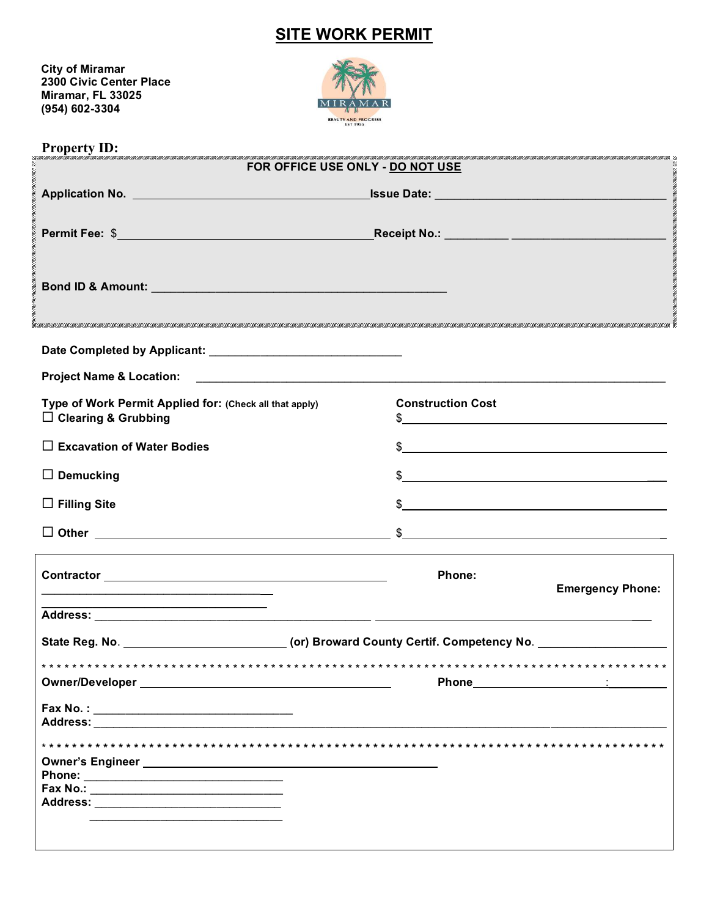## **SITE WORK PERMIT**

 **City of Miramar 2300 Civic Center Place Miramar, FL 33025 (954) 602-3304**



| <b>Property ID:</b>                                                                                                  | MENTE MAN DE LA MENTE MAN DE LA MENTE LA MENTE MAN DE LA MENTE LA MENTE MAN DE LA MENTE MAN DE LA MENTE MAN DE LA MENTE MAN DE LA MENTE LA MENTE DE LA MENTE DE LA MENTE DE LA MENTE DE LA MENTE DELLA MENTE DELLA MENTE DELLA                                                                                      |
|----------------------------------------------------------------------------------------------------------------------|---------------------------------------------------------------------------------------------------------------------------------------------------------------------------------------------------------------------------------------------------------------------------------------------------------------------|
|                                                                                                                      | FOR OFFICE USE ONLY - DO NOT USE                                                                                                                                                                                                                                                                                    |
|                                                                                                                      |                                                                                                                                                                                                                                                                                                                     |
|                                                                                                                      |                                                                                                                                                                                                                                                                                                                     |
|                                                                                                                      |                                                                                                                                                                                                                                                                                                                     |
|                                                                                                                      |                                                                                                                                                                                                                                                                                                                     |
|                                                                                                                      |                                                                                                                                                                                                                                                                                                                     |
|                                                                                                                      |                                                                                                                                                                                                                                                                                                                     |
|                                                                                                                      |                                                                                                                                                                                                                                                                                                                     |
|                                                                                                                      |                                                                                                                                                                                                                                                                                                                     |
|                                                                                                                      |                                                                                                                                                                                                                                                                                                                     |
|                                                                                                                      |                                                                                                                                                                                                                                                                                                                     |
|                                                                                                                      |                                                                                                                                                                                                                                                                                                                     |
| Type of Work Permit Applied for: (Check all that apply)<br>$\Box$ Clearing & Grubbing                                | <b>Construction Cost</b><br>$\frac{1}{2}$                                                                                                                                                                                                                                                                           |
|                                                                                                                      |                                                                                                                                                                                                                                                                                                                     |
| $\Box$ Excavation of Water Bodies                                                                                    | $\frac{1}{2}$ $\frac{1}{2}$ $\frac{1}{2}$ $\frac{1}{2}$ $\frac{1}{2}$ $\frac{1}{2}$ $\frac{1}{2}$ $\frac{1}{2}$ $\frac{1}{2}$ $\frac{1}{2}$ $\frac{1}{2}$ $\frac{1}{2}$ $\frac{1}{2}$ $\frac{1}{2}$ $\frac{1}{2}$ $\frac{1}{2}$ $\frac{1}{2}$ $\frac{1}{2}$ $\frac{1}{2}$ $\frac{1}{2}$ $\frac{1}{2}$ $\frac{1}{2}$ |
| $\Box$ Demucking                                                                                                     |                                                                                                                                                                                                                                                                                                                     |
|                                                                                                                      |                                                                                                                                                                                                                                                                                                                     |
| $\Box$ Filling Site                                                                                                  | $\frac{1}{2}$                                                                                                                                                                                                                                                                                                       |
|                                                                                                                      |                                                                                                                                                                                                                                                                                                                     |
|                                                                                                                      |                                                                                                                                                                                                                                                                                                                     |
|                                                                                                                      | Phone:                                                                                                                                                                                                                                                                                                              |
|                                                                                                                      | <b>Emergency Phone:</b>                                                                                                                                                                                                                                                                                             |
| <u> 1989 - Jan James James James James James James James James James James James James James James James James J</u> |                                                                                                                                                                                                                                                                                                                     |
| State Reg. No. ______________________________(or) Broward County Certif. Competency No. _____________________        |                                                                                                                                                                                                                                                                                                                     |
|                                                                                                                      |                                                                                                                                                                                                                                                                                                                     |
|                                                                                                                      | * * * * * * * * * * * * * * * * * *                                                                                                                                                                                                                                                                                 |
|                                                                                                                      |                                                                                                                                                                                                                                                                                                                     |
|                                                                                                                      |                                                                                                                                                                                                                                                                                                                     |
|                                                                                                                      |                                                                                                                                                                                                                                                                                                                     |
|                                                                                                                      |                                                                                                                                                                                                                                                                                                                     |
|                                                                                                                      |                                                                                                                                                                                                                                                                                                                     |
|                                                                                                                      |                                                                                                                                                                                                                                                                                                                     |
|                                                                                                                      |                                                                                                                                                                                                                                                                                                                     |
|                                                                                                                      |                                                                                                                                                                                                                                                                                                                     |
|                                                                                                                      |                                                                                                                                                                                                                                                                                                                     |